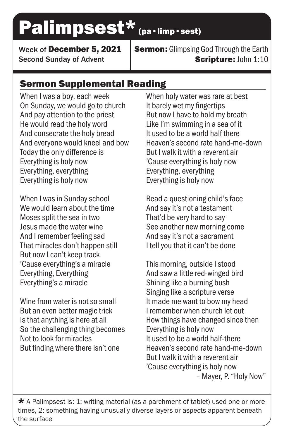## Palimpsest\* (pa·limp·sest)

Week of December 5, 2021 Second Sunday of Advent

**Sermon:** Glimpsing God Through the Earth Scripture: John 1:10

## Sermon Supplemental Reading

When I was a boy, each week On Sunday, we would go to church And pay attention to the priest He would read the holy word And consecrate the holy bread And everyone would kneel and bow Today the only difference is Everything is holy now Everything, everything Everything is holy now

When I was in Sunday school We would learn about the time Moses split the sea in two Jesus made the water wine And I remember feeling sad That miracles don't happen still But now I can't keep track 'Cause everything's a miracle Everything, Everything Everything's a miracle

Wine from water is not so small But an even better magic trick Is that anything is here at all So the challenging thing becomes Not to look for miracles But finding where there isn't one

When holy water was rare at best It barely wet my fingertips But now I have to hold my breath Like I'm swimming in a sea of it It used to be a world half there Heaven's second rate hand-me-down But I walk it with a reverent air 'Cause everything is holy now Everything, everything Everything is holy now

Read a questioning child's face And say it's not a testament That'd be very hard to say See another new morning come And say it's not a sacrament I tell you that it can't be done

This morning, outside I stood And saw a little red-winged bird Shining like a burning bush Singing like a scripture verse It made me want to bow my head I remember when church let out How things have changed since then Everything is holy now It used to be a world half-there Heaven's second rate hand-me-down But I walk it with a reverent air 'Cause everything is holy now – Mayer, P. "Holy Now"

 $\star$  A Palimpsest is: 1: writing material (as a parchment of tablet) used one or more times, 2: something having unusually diverse layers or aspects apparent beneath the surface